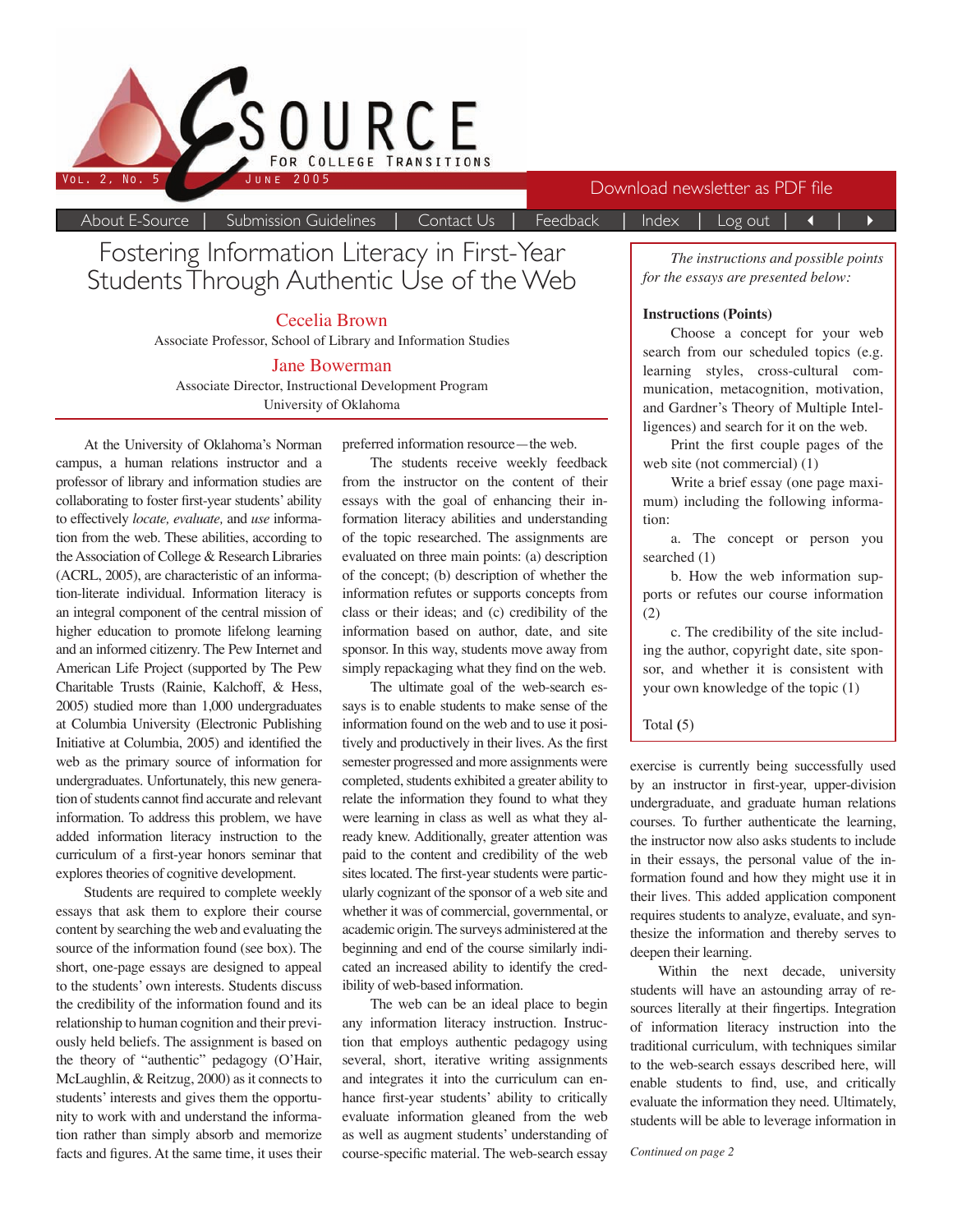

| Fostering Information Literacy in First-Year |  |
|----------------------------------------------|--|
| Students Through Authentic Use of the Web    |  |

Cecelia Brown

Associate Professor, School of Library and Information Studies

#### Jane Bowerman

Associate Director, Instructional Development Program University of Oklahoma

At the University of Oklahoma's Norman campus, a human relations instructor and a professor of library and information studies are collaborating to foster first-year students' ability to effectively *locate, evaluate,* and *use* information from the web. These abilities, according to the Association of College & Research Libraries (ACRL, 2005), are characteristic of an information-literate individual. Information literacy is an integral component of the central mission of higher education to promote lifelong learning and an informed citizenry. The Pew Internet and American Life Project (supported by The Pew Charitable Trusts (Rainie, Kalchoff, & Hess, 2005) studied more than 1,000 undergraduates at Columbia University (Electronic Publishing Initiative at Columbia, 2005) and identified the web as the primary source of information for undergraduates. Unfortunately, this new generation of students cannot find accurate and relevant information. To address this problem, we have added information literacy instruction to the curriculum of a first-year honors seminar that explores theories of cognitive development.

Students are required to complete weekly essays that ask them to explore their course content by searching the web and evaluating the source of the information found (see box). The short, one-page essays are designed to appeal to the students' own interests. Students discuss the credibility of the information found and its relationship to human cognition and their previously held beliefs. The assignment is based on the theory of "authentic" pedagogy (O'Hair, McLaughlin, & Reitzug, 2000) as it connects to students' interests and gives them the opportunity to work with and understand the information rather than simply absorb and memorize facts and figures. At the same time, it uses their preferred information resource—the web.

About E-Source | Submission Guidelines | Contact Us | Feedback | Index | Log out | 4 | ▶

The students receive weekly feedback from the instructor on the content of their essays with the goal of enhancing their information literacy abilities and understanding of the topic researched. The assignments are evaluated on three main points: (a) description of the concept; (b) description of whether the information refutes or supports concepts from class or their ideas; and (c) credibility of the information based on author, date, and site sponsor. In this way, students move away from simply repackaging what they find on the web.

The ultimate goal of the web-search essays is to enable students to make sense of the information found on the web and to use it positively and productively in their lives. As the first semester progressed and more assignments were completed, students exhibited a greater ability to relate the information they found to what they were learning in class as well as what they already knew. Additionally, greater attention was paid to the content and credibility of the web sites located. The first-year students were particularly cognizant of the sponsor of a web site and whether it was of commercial, governmental, or academic origin. The surveys administered at the beginning and end of the course similarly indicated an increased ability to identify the credibility of web-based information.

The web can be an ideal place to begin any information literacy instruction. Instruction that employs authentic pedagogy using several, short, iterative writing assignments and integrates it into the curriculum can enhance first-year students' ability to critically evaluate information gleaned from the web as well as augment students' understanding of course-specific material. The web-search essay

*The instructions and possible points for the essays are presented below:*

#### **Instructions (Points)**

Choose a concept for your web search from our scheduled topics (e.g. learning styles, cross-cultural communication, metacognition, motivation, and Gardner's Theory of Multiple Intelligences) and search for it on the web.

Print the first couple pages of the web site (not commercial) (1)

Write a brief essay (one page maximum) including the following information:

a. The concept or person you searched (1)

b. How the web information supports or refutes our course information (2)

c. The credibility of the site including the author, copyright date, site sponsor, and whether it is consistent with your own knowledge of the topic (1)

#### Total **(**5)

exercise is currently being successfully used by an instructor in first-year, upper-division undergraduate, and graduate human relations courses. To further authenticate the learning, the instructor now also asks students to include in their essays, the personal value of the information found and how they might use it in their lives. This added application component requires students to analyze, evaluate, and synthesize the information and thereby serves to deepen their learning.

Within the next decade, university students will have an astounding array of resources literally at their fingertips. Integration of information literacy instruction into the traditional curriculum, with techniques similar to the web-search essays described here, will enable students to find, use, and critically evaluate the information they need. Ultimately, students will be able to leverage information in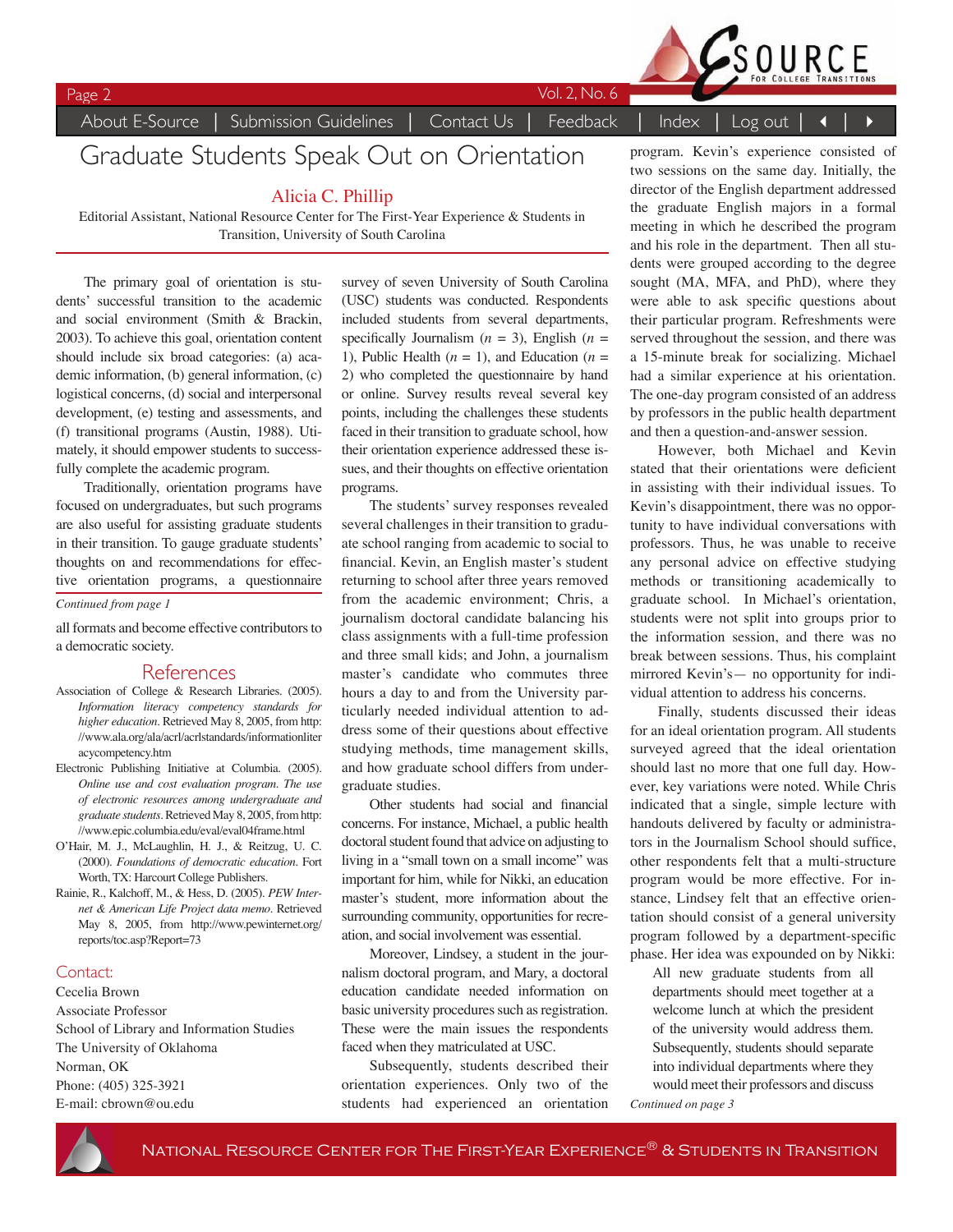

Page 2 Vol. 2, No. 6

# Graduate Students Speak Out on Orientation

### Alicia C. Phillip

Editorial Assistant, National Resource Center for The First-Year Experience & Students in Transition, University of South Carolina

The primary goal of orientation is students' successful transition to the academic and social environment (Smith & Brackin, 2003). To achieve this goal, orientation content should include six broad categories: (a) academic information, (b) general information, (c) logistical concerns, (d) social and interpersonal development, (e) testing and assessments, and (f) transitional programs (Austin, 1988). Utimately, it should empower students to successfully complete the academic program.

Traditionally, orientation programs have focused on undergraduates, but such programs are also useful for assisting graduate students in their transition. To gauge graduate students' thoughts on and recommendations for effective orientation programs, a questionnaire

*Continued from page 1*

all formats and become effective contributors to a democratic society.

### References

- Association of College & Research Libraries. (2005). *Information literacy competency standards for higher education.* Retrieved May 8, 2005, from http: //www.ala.org/ala/acrl/acrlstandards/informationliter acycompetency.htm
- Electronic Publishing Initiative at Columbia. (2005). *Online use and cost evaluation program. The use of electronic resources among undergraduate and graduate students.* Retrieved May 8, 2005, from http: //www.epic.columbia.edu/eval/eval04frame.html
- O'Hair, M. J., McLaughlin, H. J., & Reitzug, U. C. (2000). *Foundations of democratic education.* Fort Worth, TX: Harcourt College Publishers.
- Rainie, R., Kalchoff, M., & Hess, D. (2005). *PEW Internet & American Life Project data memo.* Retrieved May 8, 2005, from http://www.pewinternet.org/ reports/toc.asp?Report=73

### Contact:

Cecelia Brown Associate Professor School of Library and Information Studies The University of Oklahoma Norman, OK Phone: (405) 325-3921 E-mail: cbrown@ou.edu

survey of seven University of South Carolina (USC) students was conducted. Respondents included students from several departments, specifically Journalism  $(n = 3)$ , English  $(n = 1)$ 1), Public Health  $(n = 1)$ , and Education  $(n = 1)$ 2) who completed the questionnaire by hand or online. Survey results reveal several key points, including the challenges these students faced in their transition to graduate school, how their orientation experience addressed these issues, and their thoughts on effective orientation programs.

The students' survey responses revealed several challenges in their transition to graduate school ranging from academic to social to financial. Kevin, an English master's student returning to school after three years removed from the academic environment; Chris, a journalism doctoral candidate balancing his class assignments with a full-time profession and three small kids; and John, a journalism master's candidate who commutes three hours a day to and from the University particularly needed individual attention to address some of their questions about effective studying methods, time management skills, and how graduate school differs from undergraduate studies.

Other students had social and financial concerns. For instance, Michael, a public health doctoral student found that advice on adjusting to living in a "small town on a small income" was important for him, while for Nikki, an education master's student, more information about the surrounding community, opportunities for recreation, and social involvement was essential.

Moreover, Lindsey, a student in the journalism doctoral program, and Mary, a doctoral education candidate needed information on basic university procedures such as registration. These were the main issues the respondents faced when they matriculated at USC.

Subsequently, students described their orientation experiences. Only two of the students had experienced an orientation

program. Kevin's experience consisted of two sessions on the same day. Initially, the director of the English department addressed the graduate English majors in a formal meeting in which he described the program and his role in the department. Then all students were grouped according to the degree sought (MA, MFA, and PhD), where they were able to ask specific questions about their particular program. Refreshments were served throughout the session, and there was a 15-minute break for socializing. Michael had a similar experience at his orientation. The one-day program consisted of an address by professors in the public health department and then a question-and-answer session.

However, both Michael and Kevin stated that their orientations were deficient in assisting with their individual issues. To Kevin's disappointment, there was no opportunity to have individual conversations with professors. Thus, he was unable to receive any personal advice on effective studying methods or transitioning academically to graduate school. In Michael's orientation, students were not split into groups prior to the information session, and there was no break between sessions. Thus, his complaint mirrored Kevin's— no opportunity for individual attention to address his concerns.

Finally, students discussed their ideas for an ideal orientation program. All students surveyed agreed that the ideal orientation should last no more that one full day. However, key variations were noted. While Chris indicated that a single, simple lecture with handouts delivered by faculty or administrators in the Journalism School should suffice. other respondents felt that a multi-structure program would be more effective. For instance, Lindsey felt that an effective orientation should consist of a general university program followed by a department-specific phase. Her idea was expounded on by Nikki:

All new graduate students from all departments should meet together at a welcome lunch at which the president of the university would address them. Subsequently, students should separate into individual departments where they would meet their professors and discuss

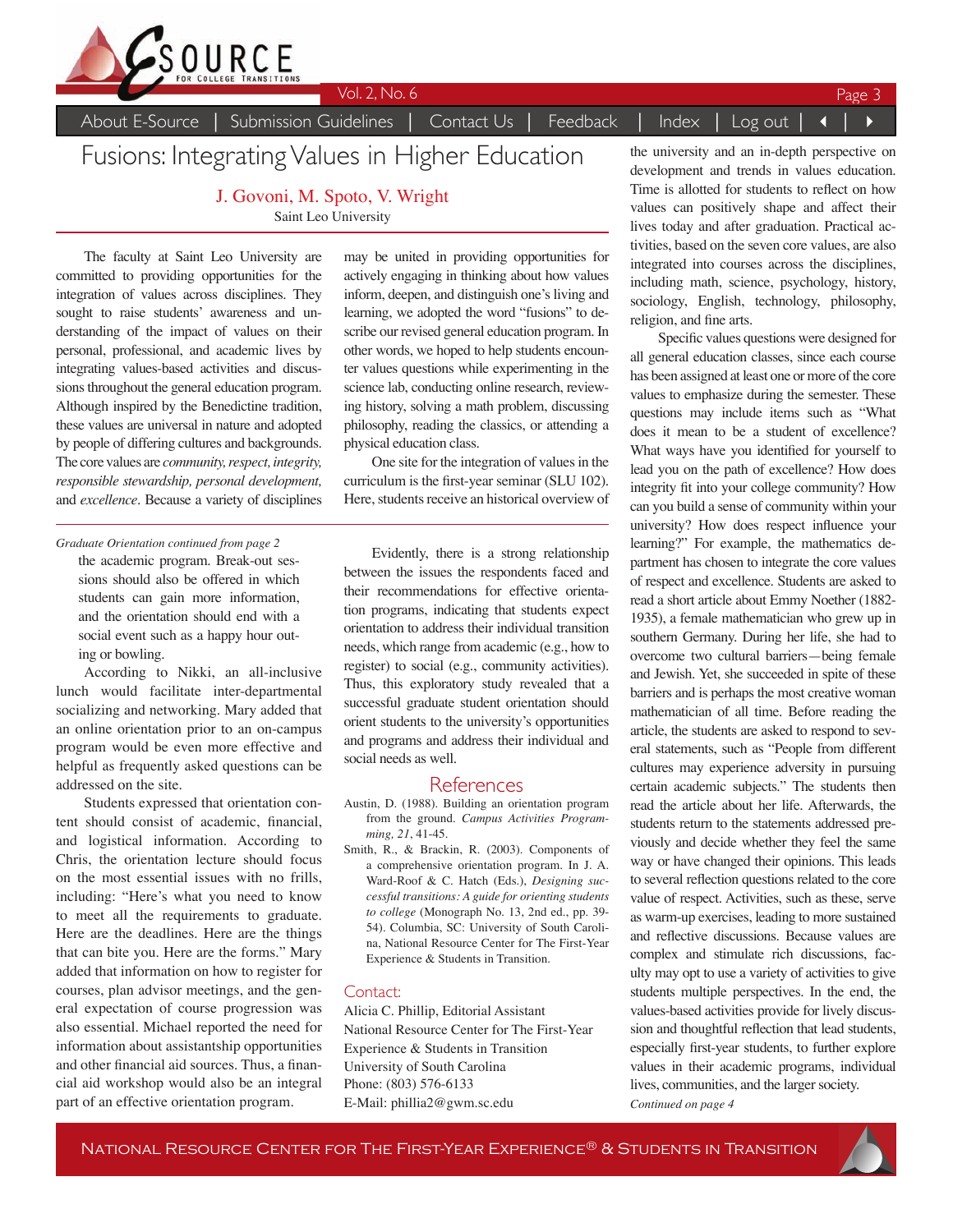

# Fusions: Integrating Values in Higher Education

J. Govoni, M. Spoto, V. Wright Saint Leo University

The faculty at Saint Leo University are committed to providing opportunities for the integration of values across disciplines. They sought to raise students' awareness and understanding of the impact of values on their personal, professional, and academic lives by integrating values-based activities and discussions throughout the general education program. Although inspired by the Benedictine tradition, these values are universal in nature and adopted by people of differing cultures and backgrounds. The core values are *community, respect, integrity, responsible stewardship, personal development,*  and *excellence*. Because a variety of disciplines

the academic program. Break-out sessions should also be offered in which students can gain more information, and the orientation should end with a social event such as a happy hour outing or bowling. *Graduate Orientation continued from page 2*

According to Nikki, an all-inclusive lunch would facilitate inter-departmental socializing and networking. Mary added that an online orientation prior to an on-campus program would be even more effective and helpful as frequently asked questions can be addressed on the site.

Students expressed that orientation content should consist of academic, financial, and logistical information. According to Chris, the orientation lecture should focus on the most essential issues with no frills, including: "Here's what you need to know to meet all the requirements to graduate. Here are the deadlines. Here are the things that can bite you. Here are the forms." Mary added that information on how to register for courses, plan advisor meetings, and the general expectation of course progression was also essential. Michael reported the need for information about assistantship opportunities and other financial aid sources. Thus, a financial aid workshop would also be an integral part of an effective orientation program.

may be united in providing opportunities for actively engaging in thinking about how values inform, deepen, and distinguish one's living and learning, we adopted the word "fusions" to describe our revised general education program. In other words, we hoped to help students encounter values questions while experimenting in the science lab, conducting online research, reviewing history, solving a math problem, discussing philosophy, reading the classics, or attending a physical education class.

One site for the integration of values in the curriculum is the first-year seminar (SLU 102). Here, students receive an historical overview of

Evidently, there is a strong relationship between the issues the respondents faced and their recommendations for effective orientation programs, indicating that students expect orientation to address their individual transition needs, which range from academic (e.g., how to register) to social (e.g., community activities). Thus, this exploratory study revealed that a successful graduate student orientation should orient students to the university's opportunities and programs and address their individual and social needs as well.

### References

- Austin, D. (1988). Building an orientation program from the ground. *Campus Activities Programming, 21*, 41-45.
- Smith, R., & Brackin, R. (2003). Components of a comprehensive orientation program. In J. A. Ward-Roof & C. Hatch (Eds.), *Designing successful transitions: A guide for orienting students to college* (Monograph No. 13, 2nd ed., pp. 39- 54). Columbia, SC: University of South Carolina, National Resource Center for The First-Year Experience & Students in Transition.

### Contact:

Alicia C. Phillip, Editorial Assistant National Resource Center for The First-Year Experience & Students in Transition University of South Carolina Phone: (803) 576-6133 E-Mail: phillia2@gwm.sc.edu

the university and an in-depth perspective on development and trends in values education. Time is allotted for students to reflect on how values can positively shape and affect their lives today and after graduation. Practical activities, based on the seven core values, are also integrated into courses across the disciplines, including math, science, psychology, history, sociology, English, technology, philosophy, religion, and fine arts.

Specific values questions were designed for all general education classes, since each course has been assigned at least one or more of the core values to emphasize during the semester. These questions may include items such as "What does it mean to be a student of excellence? What ways have you identified for yourself to lead you on the path of excellence? How does integrity fit into your college community? How can you build a sense of community within your university? How does respect influence your learning?" For example, the mathematics department has chosen to integrate the core values of respect and excellence. Students are asked to read a short article about Emmy Noether (1882- 1935), a female mathematician who grew up in southern Germany. During her life, she had to overcome two cultural barriers—being female and Jewish. Yet, she succeeded in spite of these barriers and is perhaps the most creative woman mathematician of all time. Before reading the article, the students are asked to respond to several statements, such as "People from different cultures may experience adversity in pursuing certain academic subjects." The students then read the article about her life. Afterwards, the students return to the statements addressed previously and decide whether they feel the same way or have changed their opinions. This leads to several reflection questions related to the core value of respect. Activities, such as these, serve as warm-up exercises, leading to more sustained and reflective discussions. Because values are complex and stimulate rich discussions, faculty may opt to use a variety of activities to give students multiple perspectives. In the end, the values-based activities provide for lively discussion and thoughtful reflection that lead students, especially first-year students, to further explore values in their academic programs, individual lives, communities, and the larger society. *Continued on page 4*

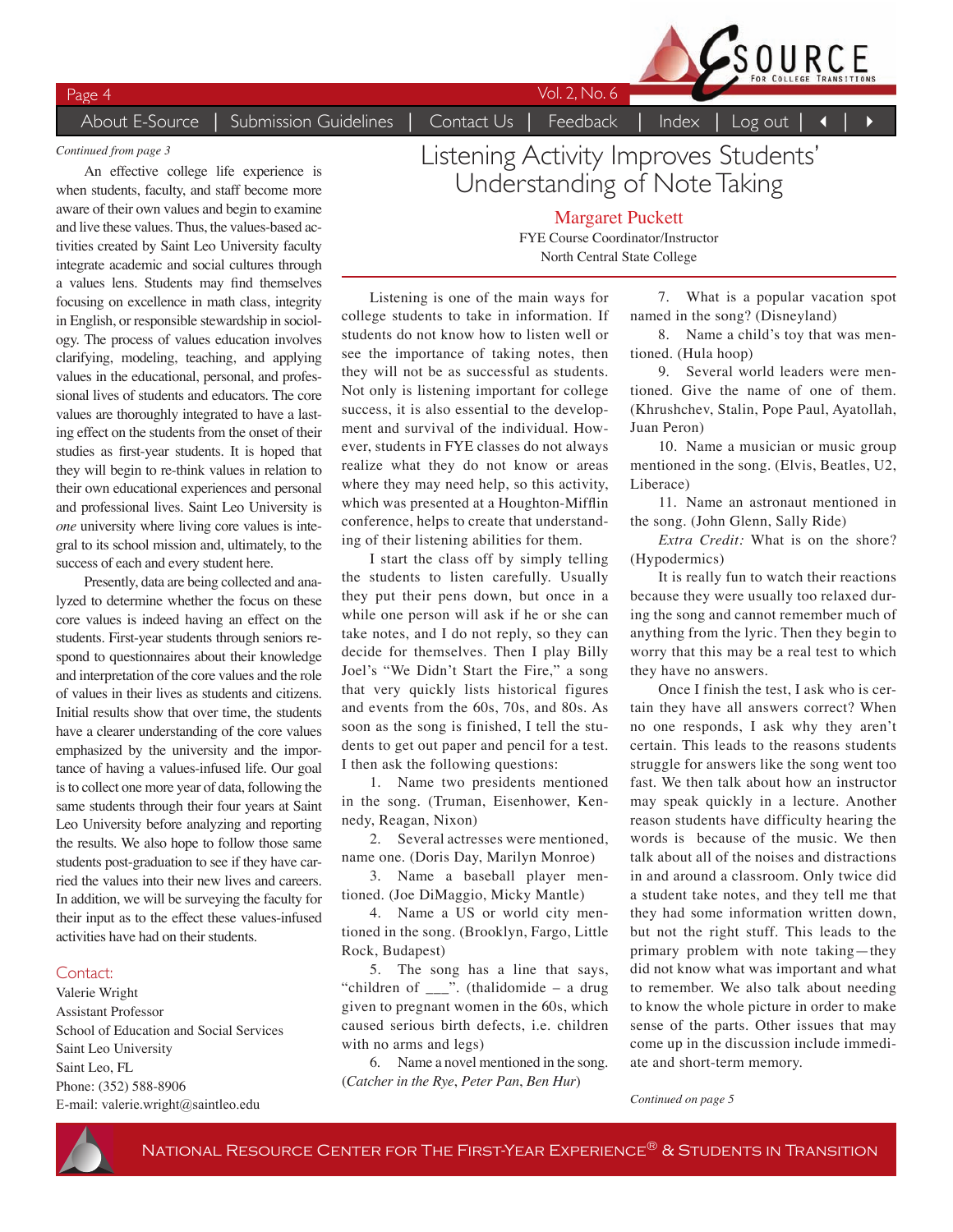Page 4 Vol. 2, No. 6



#### *Continued from page 3*

An effective college life experience is when students, faculty, and staff become more aware of their own values and begin to examine and live these values. Thus, the values-based activities created by Saint Leo University faculty integrate academic and social cultures through a values lens. Students may find themselves focusing on excellence in math class, integrity in English, or responsible stewardship in sociology. The process of values education involves clarifying, modeling, teaching, and applying values in the educational, personal, and professional lives of students and educators. The core values are thoroughly integrated to have a lasting effect on the students from the onset of their studies as first-year students. It is hoped that they will begin to re-think values in relation to their own educational experiences and personal and professional lives. Saint Leo University is *one* university where living core values is integral to its school mission and, ultimately, to the success of each and every student here.

Presently, data are being collected and analyzed to determine whether the focus on these core values is indeed having an effect on the students. First-year students through seniors respond to questionnaires about their knowledge and interpretation of the core values and the role of values in their lives as students and citizens. Initial results show that over time, the students have a clearer understanding of the core values emphasized by the university and the importance of having a values-infused life. Our goal is to collect one more year of data, following the same students through their four years at Saint Leo University before analyzing and reporting the results. We also hope to follow those same students post-graduation to see if they have carried the values into their new lives and careers. In addition, we will be surveying the faculty for their input as to the effect these values-infused activities have had on their students.

### Contact:

Valerie Wright Assistant Professor School of Education and Social Services Saint Leo University Saint Leo, FL Phone: (352) 588-8906 E-mail: valerie.wright@saintleo.edu

Listening Activity Improves Students' Understanding of Note Taking

> Margaret Puckett FYE Course Coordinator/Instructor North Central State College

Listening is one of the main ways for college students to take in information. If students do not know how to listen well or see the importance of taking notes, then they will not be as successful as students. Not only is listening important for college success, it is also essential to the development and survival of the individual. However, students in FYE classes do not always realize what they do not know or areas where they may need help, so this activity, which was presented at a Houghton-Mifflin conference, helps to create that understanding of their listening abilities for them.

I start the class off by simply telling the students to listen carefully. Usually they put their pens down, but once in a while one person will ask if he or she can take notes, and I do not reply, so they can decide for themselves. Then I play Billy Joel's "We Didn't Start the Fire," a song that very quickly lists historical figures and events from the 60s, 70s, and 80s. As soon as the song is finished, I tell the students to get out paper and pencil for a test. I then ask the following questions:

1. Name two presidents mentioned in the song. (Truman, Eisenhower, Kennedy, Reagan, Nixon)

2. Several actresses were mentioned, name one. (Doris Day, Marilyn Monroe)

3. Name a baseball player mentioned. (Joe DiMaggio, Micky Mantle)

4. Name a US or world city mentioned in the song. (Brooklyn, Fargo, Little Rock, Budapest)

5. The song has a line that says, "children of \_\_\_". (thalidomide – a drug given to pregnant women in the 60s, which caused serious birth defects, i.e. children with no arms and legs)

6. Name a novel mentioned in the song. (*Catcher in the Rye*, *Peter Pan*, *Ben Hur*)

7. What is a popular vacation spot named in the song? (Disneyland)

8. Name a child's toy that was mentioned. (Hula hoop)

9. Several world leaders were mentioned. Give the name of one of them. (Khrushchev, Stalin, Pope Paul, Ayatollah, Juan Peron)

10. Name a musician or music group mentioned in the song. (Elvis, Beatles, U2, Liberace)

11. Name an astronaut mentioned in the song. (John Glenn, Sally Ride)

*Extra Credit:* What is on the shore? (Hypodermics)

It is really fun to watch their reactions because they were usually too relaxed during the song and cannot remember much of anything from the lyric. Then they begin to worry that this may be a real test to which they have no answers.

Once I finish the test, I ask who is certain they have all answers correct? When no one responds, I ask why they aren't certain. This leads to the reasons students struggle for answers like the song went too fast. We then talk about how an instructor may speak quickly in a lecture. Another reason students have difficulty hearing the words is because of the music. We then talk about all of the noises and distractions in and around a classroom. Only twice did a student take notes, and they tell me that they had some information written down, but not the right stuff. This leads to the primary problem with note taking—they did not know what was important and what to remember. We also talk about needing to know the whole picture in order to make sense of the parts. Other issues that may come up in the discussion include immediate and short-term memory.

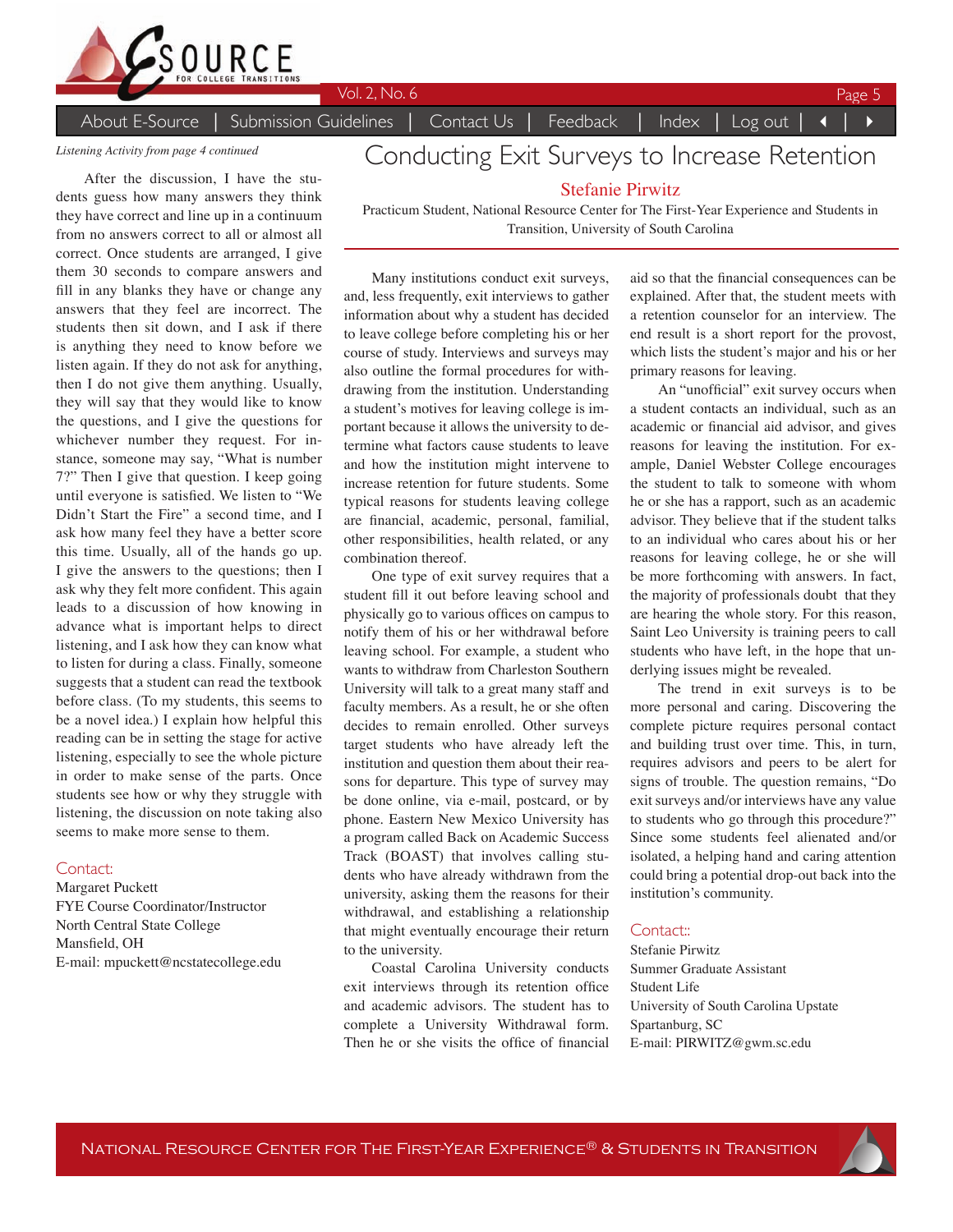

*Listening Activity from page 4 continued*

After the discussion, I have the students guess how many answers they think they have correct and line up in a continuum from no answers correct to all or almost all correct. Once students are arranged, I give them 30 seconds to compare answers and fill in any blanks they have or change any answers that they feel are incorrect. The students then sit down, and I ask if there is anything they need to know before we listen again. If they do not ask for anything, then I do not give them anything. Usually, they will say that they would like to know the questions, and I give the questions for whichever number they request. For instance, someone may say, "What is number 7?" Then I give that question. I keep going until everyone is satisfied. We listen to "We Didn't Start the Fire" a second time, and I ask how many feel they have a better score this time. Usually, all of the hands go up. I give the answers to the questions; then I ask why they felt more confident. This again leads to a discussion of how knowing in advance what is important helps to direct listening, and I ask how they can know what to listen for during a class. Finally, someone suggests that a student can read the textbook before class. (To my students, this seems to be a novel idea.) I explain how helpful this reading can be in setting the stage for active listening, especially to see the whole picture in order to make sense of the parts. Once students see how or why they struggle with listening, the discussion on note taking also seems to make more sense to them.

### Contact:

Margaret Puckett FYE Course Coordinator/Instructor North Central State College Mansfield, OH E-mail: mpuckett@ncstatecollege.edu

# Conducting Exit Surveys to Increase Retention

### Stefanie Pirwitz

Practicum Student, National Resource Center for The First-Year Experience and Students in Transition, University of South Carolina

Many institutions conduct exit surveys, and, less frequently, exit interviews to gather information about why a student has decided to leave college before completing his or her course of study. Interviews and surveys may also outline the formal procedures for withdrawing from the institution. Understanding a student's motives for leaving college is important because it allows the university to determine what factors cause students to leave and how the institution might intervene to increase retention for future students. Some typical reasons for students leaving college are financial, academic, personal, familial, other responsibilities, health related, or any combination thereof.

One type of exit survey requires that a student fill it out before leaving school and physically go to various offices on campus to notify them of his or her withdrawal before leaving school. For example, a student who wants to withdraw from Charleston Southern University will talk to a great many staff and faculty members. As a result, he or she often decides to remain enrolled. Other surveys target students who have already left the institution and question them about their reasons for departure. This type of survey may be done online, via e-mail, postcard, or by phone. Eastern New Mexico University has a program called Back on Academic Success Track (BOAST) that involves calling students who have already withdrawn from the university, asking them the reasons for their withdrawal, and establishing a relationship that might eventually encourage their return to the university.

Coastal Carolina University conducts exit interviews through its retention office and academic advisors. The student has to complete a University Withdrawal form. Then he or she visits the office of financial aid so that the financial consequences can be explained. After that, the student meets with a retention counselor for an interview. The end result is a short report for the provost, which lists the student's major and his or her primary reasons for leaving.

An "unofficial" exit survey occurs when a student contacts an individual, such as an academic or financial aid advisor, and gives reasons for leaving the institution. For example, Daniel Webster College encourages the student to talk to someone with whom he or she has a rapport, such as an academic advisor. They believe that if the student talks to an individual who cares about his or her reasons for leaving college, he or she will be more forthcoming with answers. In fact, the majority of professionals doubt that they are hearing the whole story. For this reason, Saint Leo University is training peers to call students who have left, in the hope that underlying issues might be revealed.

The trend in exit surveys is to be more personal and caring. Discovering the complete picture requires personal contact and building trust over time. This, in turn, requires advisors and peers to be alert for signs of trouble. The question remains, "Do exit surveys and/or interviews have any value to students who go through this procedure?" Since some students feel alienated and/or isolated, a helping hand and caring attention could bring a potential drop-out back into the institution's community.

#### Contact<sup>"</sup>

Stefanie Pirwitz Summer Graduate Assistant Student Life University of South Carolina Upstate Spartanburg, SC E-mail: PIRWITZ@gwm.sc.edu

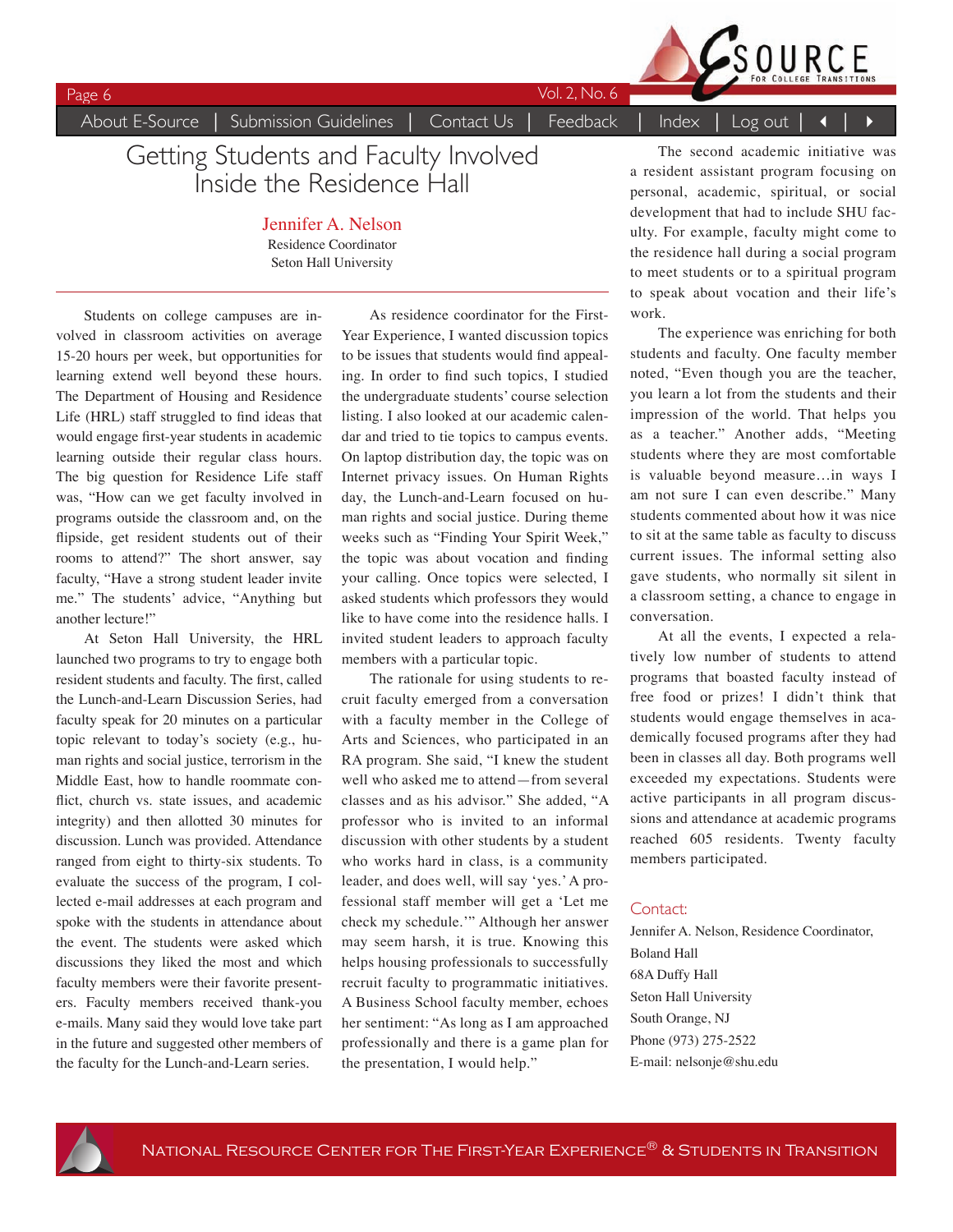Page 6 Vol. 2, No. 6

SOURCE

## About E-Source | Submission Guidelines | Contact Us | Feedback | Index | Log out

# Getting Students and Faculty Involved Inside the Residence Hall

Jennifer A. Nelson Residence Coordinator Seton Hall University

Students on college campuses are involved in classroom activities on average 15-20 hours per week, but opportunities for learning extend well beyond these hours. The Department of Housing and Residence Life (HRL) staff struggled to find ideas that would engage first-year students in academic learning outside their regular class hours. The big question for Residence Life staff was, "How can we get faculty involved in programs outside the classroom and, on the flipside, get resident students out of their rooms to attend?" The short answer, say faculty, "Have a strong student leader invite me." The students' advice, "Anything but another lecture!"

At Seton Hall University, the HRL launched two programs to try to engage both resident students and faculty. The first, called the Lunch-and-Learn Discussion Series, had faculty speak for 20 minutes on a particular topic relevant to today's society (e.g., human rights and social justice, terrorism in the Middle East, how to handle roommate conflict, church vs. state issues, and academic integrity) and then allotted 30 minutes for discussion. Lunch was provided. Attendance ranged from eight to thirty-six students. To evaluate the success of the program, I collected e-mail addresses at each program and spoke with the students in attendance about the event. The students were asked which discussions they liked the most and which faculty members were their favorite presenters. Faculty members received thank-you e-mails. Many said they would love take part in the future and suggested other members of the faculty for the Lunch-and-Learn series.

As residence coordinator for the First-Year Experience, I wanted discussion topics to be issues that students would find appealing. In order to find such topics, I studied the undergraduate students' course selection listing. I also looked at our academic calendar and tried to tie topics to campus events. On laptop distribution day, the topic was on Internet privacy issues. On Human Rights day, the Lunch-and-Learn focused on human rights and social justice. During theme weeks such as "Finding Your Spirit Week," the topic was about vocation and finding your calling. Once topics were selected, I asked students which professors they would like to have come into the residence halls. I invited student leaders to approach faculty members with a particular topic.

The rationale for using students to recruit faculty emerged from a conversation with a faculty member in the College of Arts and Sciences, who participated in an RA program. She said, "I knew the student well who asked me to attend—from several classes and as his advisor." She added, "A professor who is invited to an informal discussion with other students by a student who works hard in class, is a community leader, and does well, will say ʻyes.' A professional staff member will get a ʻLet me check my schedule.'" Although her answer may seem harsh, it is true. Knowing this helps housing professionals to successfully recruit faculty to programmatic initiatives. A Business School faculty member, echoes her sentiment: "As long as I am approached professionally and there is a game plan for the presentation, I would help."

The second academic initiative was a resident assistant program focusing on personal, academic, spiritual, or social development that had to include SHU faculty. For example, faculty might come to the residence hall during a social program to meet students or to a spiritual program to speak about vocation and their life's work.

The experience was enriching for both students and faculty. One faculty member noted, "Even though you are the teacher, you learn a lot from the students and their impression of the world. That helps you as a teacher." Another adds, "Meeting students where they are most comfortable is valuable beyond measure…in ways I am not sure I can even describe." Many students commented about how it was nice to sit at the same table as faculty to discuss current issues. The informal setting also gave students, who normally sit silent in a classroom setting, a chance to engage in conversation.

At all the events, I expected a relatively low number of students to attend programs that boasted faculty instead of free food or prizes! I didn't think that students would engage themselves in academically focused programs after they had been in classes all day. Both programs well exceeded my expectations. Students were active participants in all program discussions and attendance at academic programs reached 605 residents. Twenty faculty members participated.

### Contact:

Jennifer A. Nelson, Residence Coordinator, Boland Hall 68A Duffy Hall Seton Hall University South Orange, NJ Phone (973) 275-2522 E-mail: nelsonje@shu.edu

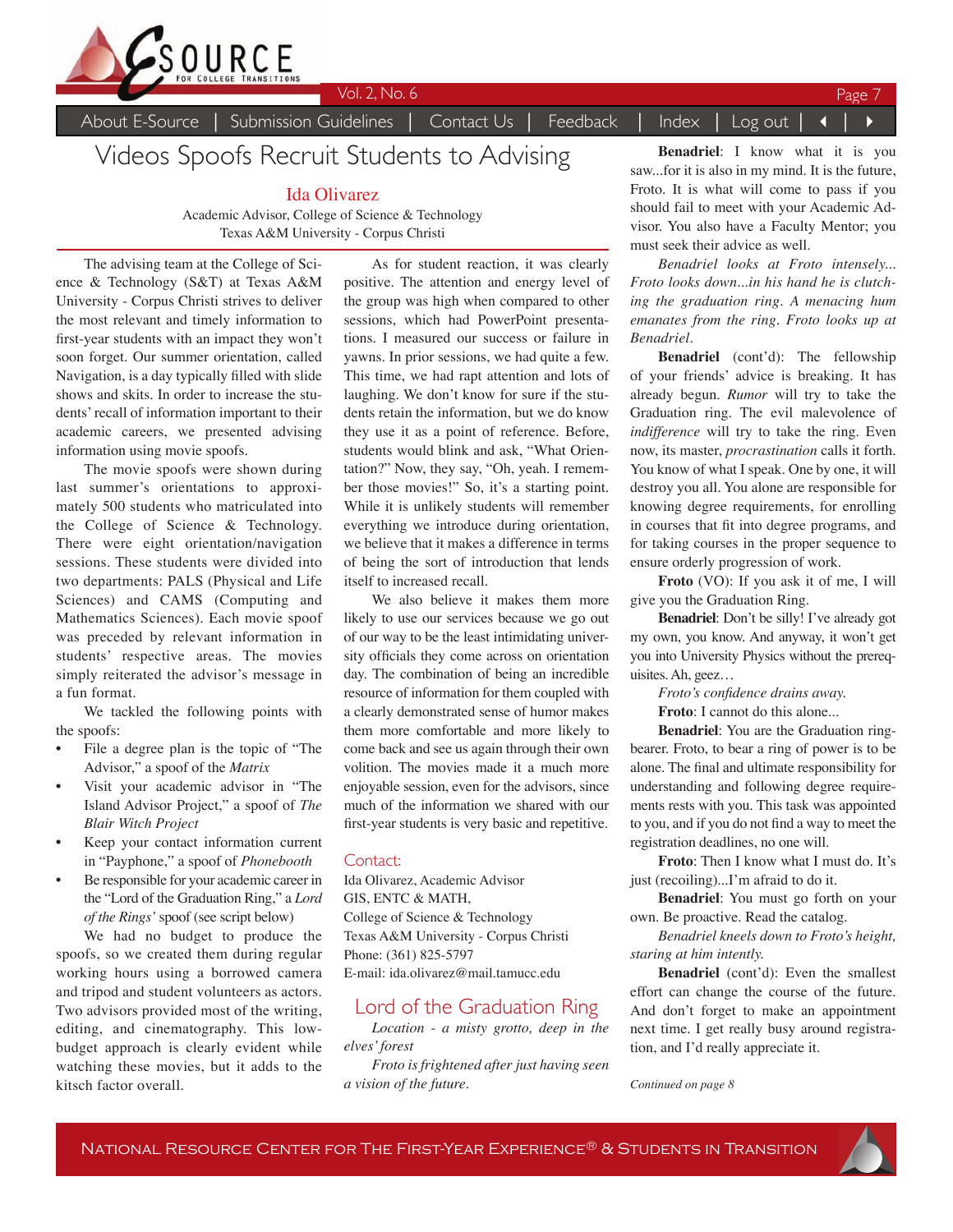

Videos Spoofs Recruit Students to Advising

Ida Olivarez

Academic Advisor, College of Science & Technology Texas A&M University - Corpus Christi

The advising team at the College of Science & Technology (S&T) at Texas A&M University - Corpus Christi strives to deliver the most relevant and timely information to first-year students with an impact they won't soon forget. Our summer orientation, called Navigation, is a day typically filled with slide shows and skits. In order to increase the students' recall of information important to their academic careers, we presented advising information using movie spoofs.

The movie spoofs were shown during last summer's orientations to approximately 500 students who matriculated into the College of Science & Technology. There were eight orientation/navigation sessions. These students were divided into two departments: PALS (Physical and Life Sciences) and CAMS (Computing and Mathematics Sciences). Each movie spoof was preceded by relevant information in students' respective areas. The movies simply reiterated the advisor's message in a fun format.

We tackled the following points with the spoofs:

- File a degree plan is the topic of "The Advisor," a spoof of the *Matrix*
- Visit your academic advisor in "The Island Advisor Project," a spoof of *The Blair Witch Project*
- Keep your contact information current in "Payphone," a spoof of *Phonebooth*
- Be responsible for your academic career in the "Lord of the Graduation Ring," a *Lord of the Rings'* spoof (see script below)

We had no budget to produce the spoofs, so we created them during regular working hours using a borrowed camera and tripod and student volunteers as actors. Two advisors provided most of the writing, editing, and cinematography. This lowbudget approach is clearly evident while watching these movies, but it adds to the kitsch factor overall.

As for student reaction, it was clearly positive. The attention and energy level of the group was high when compared to other sessions, which had PowerPoint presentations. I measured our success or failure in yawns. In prior sessions, we had quite a few. This time, we had rapt attention and lots of laughing. We don't know for sure if the students retain the information, but we do know they use it as a point of reference. Before, students would blink and ask, "What Orientation?" Now, they say, "Oh, yeah. I remember those movies!" So, it's a starting point. While it is unlikely students will remember everything we introduce during orientation, we believe that it makes a difference in terms of being the sort of introduction that lends itself to increased recall.

We also believe it makes them more likely to use our services because we go out of our way to be the least intimidating university officials they come across on orientation day. The combination of being an incredible resource of information for them coupled with a clearly demonstrated sense of humor makes them more comfortable and more likely to come back and see us again through their own volition. The movies made it a much more enjoyable session, even for the advisors, since much of the information we shared with our first-year students is very basic and repetitive.

### Contact:

Ida Olivarez, Academic Advisor GIS, ENTC & MATH, College of Science & Technology Texas A&M University - Corpus Christi Phone: (361) 825-5797 E-mail: ida.olivarez@mail.tamucc.edu

### Lord of the Graduation Ring

*Location - a misty grotto, deep in the elves' forest*

*Froto is frightened after just having seen a vision of the future.*

**Benadriel**: I know what it is you saw...for it is also in my mind. It is the future, Froto. It is what will come to pass if you should fail to meet with your Academic Advisor. You also have a Faculty Mentor; you must seek their advice as well.

*Benadriel looks at Froto intensely... Froto looks down...in his hand he is clutching the graduation ring. A menacing hum emanates from the ring. Froto looks up at Benadriel.*

**Benadriel** (cont'd): The fellowship of your friends' advice is breaking. It has already begun. *Rumor* will try to take the Graduation ring. The evil malevolence of *indifference* will try to take the ring. Even now, its master, *procrastination* calls it forth. You know of what I speak. One by one, it will destroy you all. You alone are responsible for knowing degree requirements, for enrolling in courses that fit into degree programs, and for taking courses in the proper sequence to ensure orderly progression of work.

**Froto** (VO): If you ask it of me, I will give you the Graduation Ring.

**Benadriel**: Don't be silly! I've already got my own, you know. And anyway, it won't get you into University Physics without the prerequisites. Ah, geez…

*Froto's confidence drains away.*

**Froto**: I cannot do this alone...

**Benadriel**: You are the Graduation ringbearer. Froto, to bear a ring of power is to be alone. The final and ultimate responsibility for understanding and following degree requirements rests with you. This task was appointed to you, and if you do not find a way to meet the registration deadlines, no one will.

**Froto**: Then I know what I must do. It's just (recoiling)...I'm afraid to do it.

**Benadriel**: You must go forth on your own. Be proactive. Read the catalog.

*Benadriel kneels down to Froto's height, staring at him intently.*

**Benadriel** (cont'd): Even the smallest effort can change the course of the future. And don't forget to make an appointment next time. I get really busy around registration, and I'd really appreciate it.